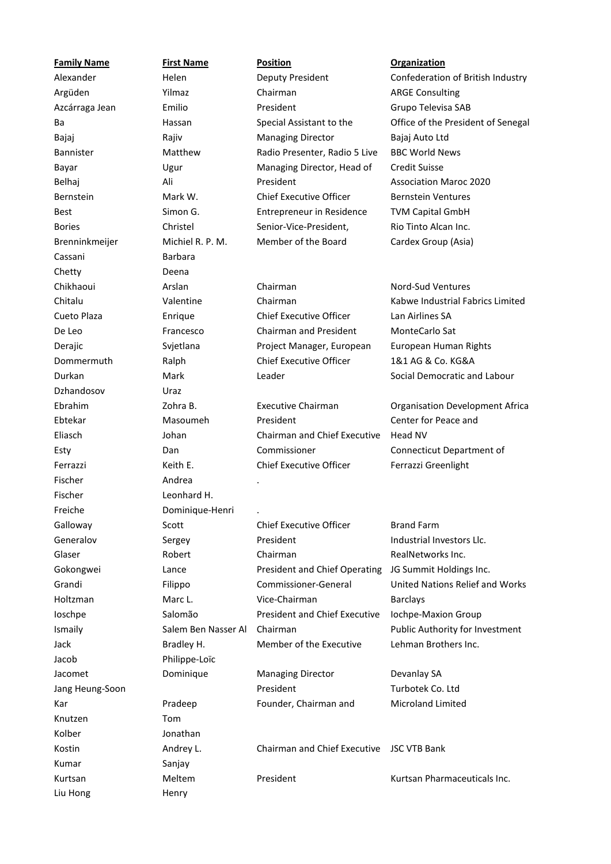| <b>Family Name</b> | <b>First Name</b>   | <b>Position</b>                      | <b>Organization</b>                    |
|--------------------|---------------------|--------------------------------------|----------------------------------------|
| Alexander          | Helen               | Deputy President                     | Confederation of British Industry      |
| Argüden            | Yilmaz              | Chairman                             | <b>ARGE Consulting</b>                 |
| Azcárraga Jean     | Emilio              | President                            | Grupo Televisa SAB                     |
| Ba                 | Hassan              | Special Assistant to the             | Office of the President of Senegal     |
| Bajaj              | Rajiv               | <b>Managing Director</b>             | Bajaj Auto Ltd                         |
| Bannister          | Matthew             | Radio Presenter, Radio 5 Live        | <b>BBC World News</b>                  |
| Bayar              | Ugur                | Managing Director, Head of           | <b>Credit Suisse</b>                   |
| Belhaj             | Ali                 | President                            | <b>Association Maroc 2020</b>          |
| Bernstein          | Mark W.             | <b>Chief Executive Officer</b>       | <b>Bernstein Ventures</b>              |
| <b>Best</b>        | Simon G.            | Entrepreneur in Residence            | <b>TVM Capital GmbH</b>                |
| <b>Bories</b>      | Christel            | Senior-Vice-President,               | Rio Tinto Alcan Inc.                   |
| Brenninkmeijer     | Michiel R. P. M.    | Member of the Board                  | Cardex Group (Asia)                    |
| Cassani            | <b>Barbara</b>      |                                      |                                        |
| Chetty             | Deena               |                                      |                                        |
| Chikhaoui          | Arslan              | Chairman                             | <b>Nord-Sud Ventures</b>               |
| Chitalu            | Valentine           | Chairman                             | Kabwe Industrial Fabrics Limited       |
| Cueto Plaza        | Enrique             | <b>Chief Executive Officer</b>       | Lan Airlines SA                        |
| De Leo             | Francesco           | Chairman and President               | MonteCarlo Sat                         |
| Derajic            | Svjetlana           | Project Manager, European            | European Human Rights                  |
| Dommermuth         | Ralph               | <b>Chief Executive Officer</b>       | 1&1 AG & Co. KG&A                      |
| Durkan             | Mark                | Leader                               | Social Democratic and Labour           |
| Dzhandosov         | Uraz                |                                      |                                        |
| Ebrahim            | Zohra B.            | <b>Executive Chairman</b>            | <b>Organisation Development Africa</b> |
| Ebtekar            | Masoumeh            | President                            | Center for Peace and                   |
| Eliasch            | Johan               | Chairman and Chief Executive         | Head NV                                |
| Esty               | Dan                 | Commissioner                         | Connecticut Department of              |
| Ferrazzi           | Keith E.            | <b>Chief Executive Officer</b>       | Ferrazzi Greenlight                    |
| Fischer            | Andrea              |                                      |                                        |
| Fischer            | Leonhard H.         |                                      |                                        |
| Freiche            | Dominique-Henri     |                                      |                                        |
| Galloway           | Scott               | <b>Chief Executive Officer</b>       | <b>Brand Farm</b>                      |
| Generalov          | Sergey              | President                            | Industrial Investors Llc.              |
| Glaser             | Robert              | Chairman                             | RealNetworks Inc.                      |
| Gokongwei          | Lance               | <b>President and Chief Operating</b> | JG Summit Holdings Inc.                |
| Grandi             | Filippo             | Commissioner-General                 | United Nations Relief and Works        |
| Holtzman           | Marc L.             | Vice-Chairman                        | <b>Barclays</b>                        |
| loschpe            | Salomão             | <b>President and Chief Executive</b> | Iochpe-Maxion Group                    |
| Ismaily            | Salem Ben Nasser Al | Chairman                             | Public Authority for Investment        |
| Jack               | Bradley H.          | Member of the Executive              | Lehman Brothers Inc.                   |
| Jacob              | Philippe-Loïc       |                                      |                                        |
| Jacomet            | Dominique           | <b>Managing Director</b>             | Devanlay SA                            |
| Jang Heung-Soon    |                     | President                            | Turbotek Co. Ltd                       |
| Kar                | Pradeep             | Founder, Chairman and                | Microland Limited                      |
| Knutzen            | Tom                 |                                      |                                        |
| Kolber             | Jonathan            |                                      |                                        |
| Kostin             | Andrey L.           | <b>Chairman and Chief Executive</b>  | <b>JSC VTB Bank</b>                    |
| Kumar              | Sanjay              |                                      |                                        |
| Kurtsan            | Meltem              | President                            | Kurtsan Pharmaceuticals Inc.           |
| Liu Hong           | Henry               |                                      |                                        |